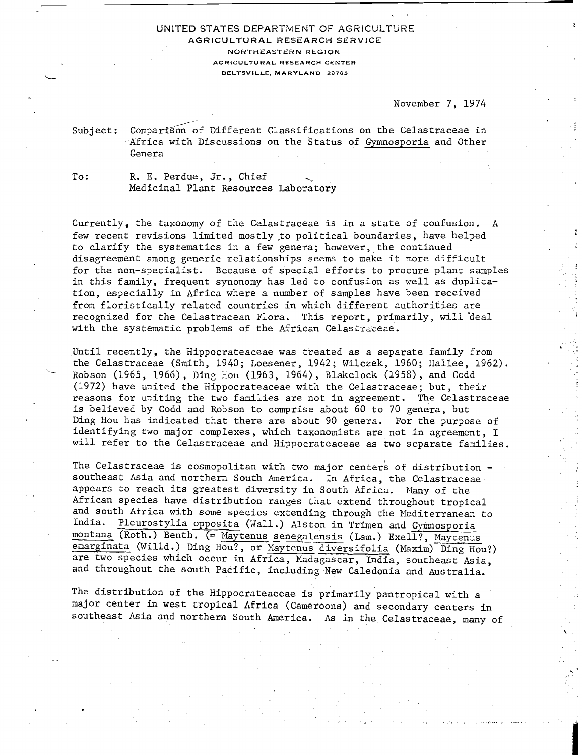## UNITED STATES DEPARTMENT OF AGRICULTURE **AGRICULTURAL RESEARCH SERVICE NORTHEASTERN REGlON AGRICULTURAL RESEARCH CENTER BELTSVILLE. MARYLAND 20705**

## Novenber 7, 1974

November 7, 1974<br>Subject: Comparison of Different Classifications on the Celastraceae in Africa with Discussions on the Status of Gymnosporia and Other Genera

To: R. E. Perdue, Jr., Chief Medicinal Plant Resources Laboratory

Currently, the taxonomy of the Celastraceae is in a state of confusion. A few recent revisions limited mostly to political boundaries, have helped to clarify the systematics in a few genera; however, the continued disagreement among generic relationships seems to make it nore difficult for the non-specialist. Because of special efforts to procure plant samples in this family, frequent synonomy has led to confusion as well as duplication, especially in Africa where a number of samples have been received from floristically related countries in which different authorities are recognized for the Celastracean Flora. This report, primarily, will deal with the systematic problems of the African Celastraceae.

Until recently, the Hippocrateaceae was treated as a separate family from the Celastraceae (Smith, 1940; Loesener, 1942; Wilczek, 1960; Hallee, 1962).<br>Robson (1965, 1966), Ding Hou (1963, 1964), Blakelock (1958), and Codd (1972) have united the Hippocrateaceae with the Celastraceae; but, their reasons for uniting the two families are not in agreement. The Celastraceae is believed by Codd and Kobson to comprise about 60 to 70 genera, but Ding Hou has indicated that there are about 90 genera. For the purpose of identifying two major complexes, which taxonomists are not in agreement, I will refer to the Celastraceae and Hippocrateaceae as two separate families.

The Celastraceae is cosmopolitan with two major centers of distribution southeast Asia and northern South America. In Africa, the Celastraceae appears to reach its greatest diversity in South Africa. Many of the African species have distribution ranges that extend throughout tropical and south Africa with some species extending through the Mediterranean to India. Pleurostylia opposita (Wall.) Alston in Trimen and Cymposporia Pleurostylia opposita (Wall.) Alston in Trimen and Gymnosporia All Italian Species have distribution<br>and south Africa with some specified<br>India. Pleurostylia opposita (W<br>montana (Roth.) Benth. (= <u>Mayten</u><br>emarginata (Willd.) Ding Hou?, o Maytenus senegalensis (Lam.) Exell?, Maytenus emarginata (Willd.) Ding Hou?, or Maytenus diversifolia (Maxim) Ding Hou?) are two species which occur in Africa, Madagascar, India, southeast Asia, and throughout the south Pacific, including New Caledonia and Australia.

The distribution of the Hippocrateaceae is primarily pantropical with a major center in west tropical Africa (Cameroons) and secondary centers in southeast Asia and northern South America. As in the Celastraceae, many of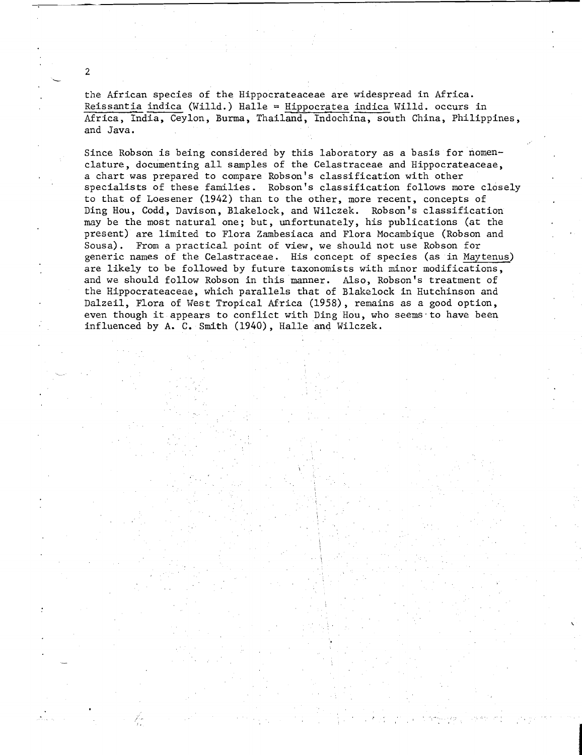the African species of the Hippocrateaceae are widespread in Africa. Reissantia indica (Willd.)  $H$ alle = Hippocratea indica Willd. occurs in Africa, India, Ceylon, Burma, Thailand, Indochina, south China, Philippines, and Java.

**L** 

2

Since Robson is being considered by this laboratory as a basis for nomenclature, documenting all samples of the Celastraceae and Hippocrateaceae, a chart was prepared to compare Robson's classification with other specialists of these families. Robson's classification follows more closely to that of Loesener (1942) than to the other, more recent, concepts of Ding Hou, Codd, Davison, Blakelock, and Wilczek. Robson's classification may be the most natural one; but, unfortunately, his publications (at the present) are limited to Flora Zambesiaca and Flora Mocambique (Robson and Sousa). From a practical point of view, we should not use Robson for generic names of the Celastraceae. His concept of species (as in Maytenus) are likely to be followed by future taxonomists with minor modifications, and we should follow Robson in this manner. Also, Robson's treatment of the Hippocrateaceae, which parallels that of Blakelock in Hutchinson and Dalzeil, Flora of West Tropical Africa (1958) , remains as a good option, even though it appears to conflict with Ding Hou, who seems to have been influenced by **A.** C. Smith (1940), Halle and Wilczek.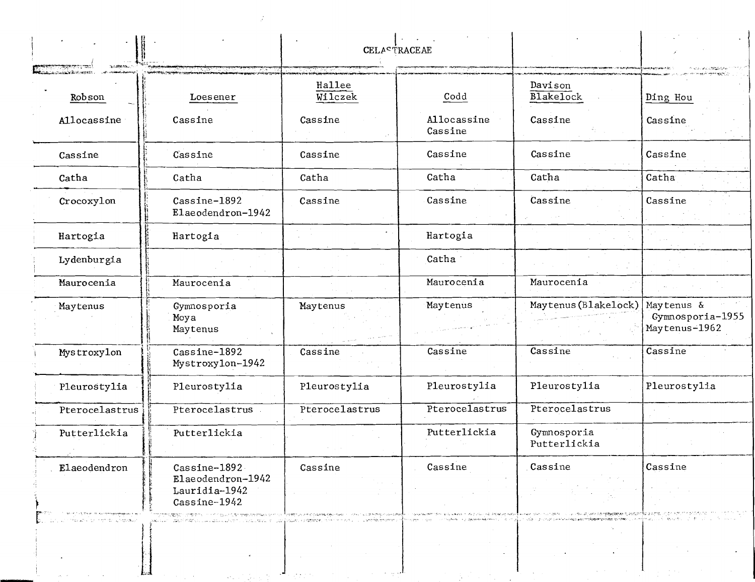|                |                                                                                                                                                                                       | <b>CELASTRACEAE</b> |                                                          |                                                                    |                                                 |
|----------------|---------------------------------------------------------------------------------------------------------------------------------------------------------------------------------------|---------------------|----------------------------------------------------------|--------------------------------------------------------------------|-------------------------------------------------|
| Robson         | Loesener                                                                                                                                                                              | Hallee<br>Wilczek   | Codd                                                     | Davison<br><b>Blakelock</b>                                        | Ding Hou                                        |
| Allocassine    | Cassine                                                                                                                                                                               | Cassine             | Allocassine<br>Cassine                                   | Cassine                                                            | Cassine                                         |
| Cassine        | Cassine                                                                                                                                                                               | Cassine             | Cassine                                                  | Cassine                                                            | Cassine                                         |
| Catha          | Catha                                                                                                                                                                                 | Catha               | Catha                                                    | Catha                                                              | Catha                                           |
| Crocoxylon     | Cassine-1892<br>Elaeodendron-1942                                                                                                                                                     | Cassine             | Cassine                                                  | Cassine                                                            | Cassine                                         |
| Hartogia       | Hartogia                                                                                                                                                                              |                     | Hartogia                                                 |                                                                    |                                                 |
| Lydenburgia    |                                                                                                                                                                                       |                     | Catha                                                    |                                                                    |                                                 |
| Maurocenia     | Maurocenia                                                                                                                                                                            |                     | Maurocenia                                               | Maurocenia                                                         |                                                 |
| Maytenus       | Gymnosporia<br>Moya<br>Maytenus                                                                                                                                                       | Maytenus            | Maytenus                                                 | Maytenus (Blakelock)                                               | Maytenus &<br>Gymnosporia-1955<br>Maytenus-1962 |
| Mystroxylon    | Cassine-1892<br>Mystroxylon-1942                                                                                                                                                      | Cassine             | Cassine                                                  | Cassine                                                            | Cassine                                         |
| Pleurostylia   | Pleurostylia                                                                                                                                                                          | Pleurostylia        | Pleurostylia                                             | Pleurostylia                                                       | Pleurostylia                                    |
| Pterocelastrus | Pterocelastrus                                                                                                                                                                        | Pterocelastrus      | Pterocelastrus                                           | Pterocelastrus                                                     |                                                 |
| Putterlickia   | Putterlickia                                                                                                                                                                          |                     | Putterlickia                                             | Gymnosporia<br>Putterlickia                                        |                                                 |
| Elaeodendron   | Cassine-1892<br>Elaeodendron-1942<br>Lauridia-1942<br>Cassine-1942<br>ინებულეფებეს კულმიზა, სასახის უკავსტული უფლილადია და სახილმება ალდიადადა გამომოსახა სამართვის სახილმადა სახილმა | Cassine             | Cassine<br>TEM ING A KASA TI ANG PALITAN PANAHAMI AT MAS | Cassine<br>The central diffusion of the states approved to present | Cassine                                         |
| a (stringer)   | ക്കാല് മുന്നിയില് പാട്ട് പ്രാപ്തിയില് പ്രവാസങ്ങളില് പ്രാപ്തിയായി കാര്യങ്ങളില് പ്രവാസങ്ങളില് പ്രത്യീക്കാണ് പ്ര                                                                         |                     | derengen in gan                                          | erneska svensk<br>in 1999 in the control service and except with   |                                                 |

المرابي

 $\sim 10^{-1}$ 

 $\Delta \phi$ 

 $\sim 10$ 

 $\sim$   $\sim$ 

 $\mathcal{O}(\mathcal{O}_\mathcal{A})$ 

 $\mathcal{A}^{\pm}$ 

 $\mathcal{I}^{\pm}$ 

 $\Box$ 

 $\mathcal{A}^{\mathcal{A}}$  and  $\mathcal{A}^{\mathcal{A}}$  are  $\mathcal{A}^{\mathcal{A}}$  . Then

السياسي (من الرياضية)<br>المراجع

 $\{ \lambda, \lambda, \lambda, \lambda \}$ 

 $\mathcal{A}_\mathbf{C}(\mathbf{A})$  and  $\mathcal{A}_\mathbf{C}(\mathbf{A})$  and  $\mathcal{A}_\mathbf{C}(\mathbf{A})$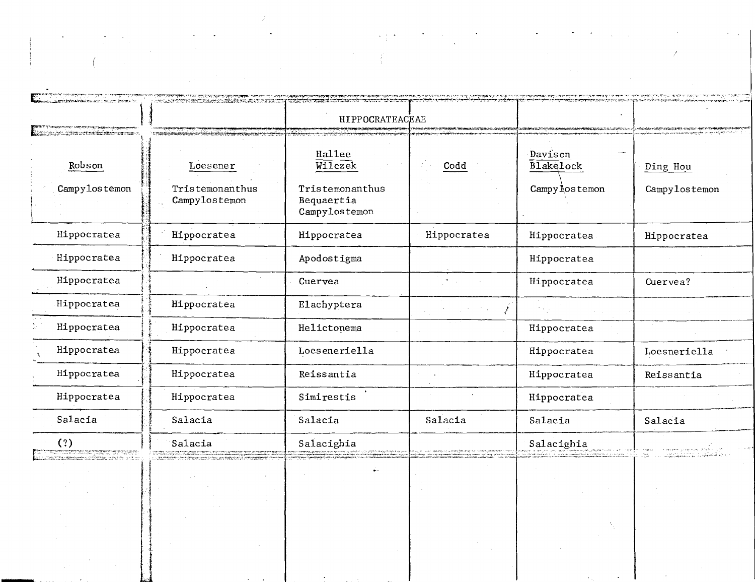| <u>n kondast verkalt i dago orden i trattor i tr</u>                                                                                                                            |                                                      | HIPPOCRATEACEAE                                                                                                                                                                                                                               | pány paspathatan graf pelistintik homonler (new contraspaths), it facture ochringvanagappathy papa par parti montra |                                                                                                                |               |
|---------------------------------------------------------------------------------------------------------------------------------------------------------------------------------|------------------------------------------------------|-----------------------------------------------------------------------------------------------------------------------------------------------------------------------------------------------------------------------------------------------|---------------------------------------------------------------------------------------------------------------------|----------------------------------------------------------------------------------------------------------------|---------------|
| i ina merupakang sistema tahun<br>Robson                                                                                                                                        | <b>STORIC PRODUCT</b><br>Loesener                    | Hallee<br>Wilczek                                                                                                                                                                                                                             | Codd                                                                                                                | Davison<br><b>Blakelock</b>                                                                                    | Ding Hou      |
| Campylostemon                                                                                                                                                                   | Tristemonanthus<br>Campylostemon                     | Tristemonanthus<br>Bequaertia<br>Campylostemon                                                                                                                                                                                                |                                                                                                                     | Campy los temon                                                                                                | Campylostemon |
| Hippocratea                                                                                                                                                                     | Hippocratea                                          | Hippocratea                                                                                                                                                                                                                                   | Hippocratea                                                                                                         | Hippocratea                                                                                                    | Hippocratea   |
| Hippocratea                                                                                                                                                                     | Hippocratea                                          | Apodostigma                                                                                                                                                                                                                                   |                                                                                                                     | Hippocratea                                                                                                    |               |
| Hippocratea                                                                                                                                                                     |                                                      | Cuervea                                                                                                                                                                                                                                       |                                                                                                                     | Hippocratea                                                                                                    | Cuervea?      |
| Hippocratea                                                                                                                                                                     | Hippocratea                                          | Elachyptera                                                                                                                                                                                                                                   | $\mathcal{L}_{\mathcal{A}}$ , where $\mathcal{L}_{\mathcal{A}}$ and $\mathcal{L}_{\mathcal{A}}$<br>$\mathcal{L}$    |                                                                                                                |               |
| Hippocratea                                                                                                                                                                     | Hippocratea                                          | Helictonema                                                                                                                                                                                                                                   |                                                                                                                     | Hippocratea                                                                                                    |               |
| Hippocratea                                                                                                                                                                     | Hippocratea                                          | Loeseneriella                                                                                                                                                                                                                                 |                                                                                                                     | Hippocratea                                                                                                    | Loesneriella  |
| Hippocratea                                                                                                                                                                     | Hippocratea                                          | Reissantia                                                                                                                                                                                                                                    |                                                                                                                     | Hippocratea                                                                                                    | Reissantia    |
| Hippocratea                                                                                                                                                                     | Hippocratea                                          | Simirestis                                                                                                                                                                                                                                    |                                                                                                                     | Hippocratea                                                                                                    |               |
| Salacia                                                                                                                                                                         | Salacia                                              | Salacia                                                                                                                                                                                                                                       | Salacia                                                                                                             | Salacia                                                                                                        | Salacia       |
| (?)<br>f 2                                                                                                                                                                      | Salacia                                              | Salacighia                                                                                                                                                                                                                                    |                                                                                                                     | Salacighia                                                                                                     |               |
| Tinting the content of the second state of the second state of the second state of the second state of the sec<br>Single the component of the second state of the second second | $\sim$<br><b>Service</b><br>$\sim 10^{-1}$<br>$\sim$ | нием отвердующим продолжения других сосудится верхников на усок рассул после светом недоставления в сосудится п<br>после после приверживающем в сосудится после после после после после после после после после после после сос<br>$\bullet-$ | $\sim$<br>$\sim 100$<br>$\sim 100$                                                                                  | ka kabupatèn Tangan di Kabupatèn Kalèng Kabupatèn Salah Kalèndher Kalèndher Kabupatèn Salah Kabupatèn Kalèndhe |               |
|                                                                                                                                                                                 |                                                      |                                                                                                                                                                                                                                               |                                                                                                                     |                                                                                                                |               |
|                                                                                                                                                                                 |                                                      |                                                                                                                                                                                                                                               |                                                                                                                     |                                                                                                                |               |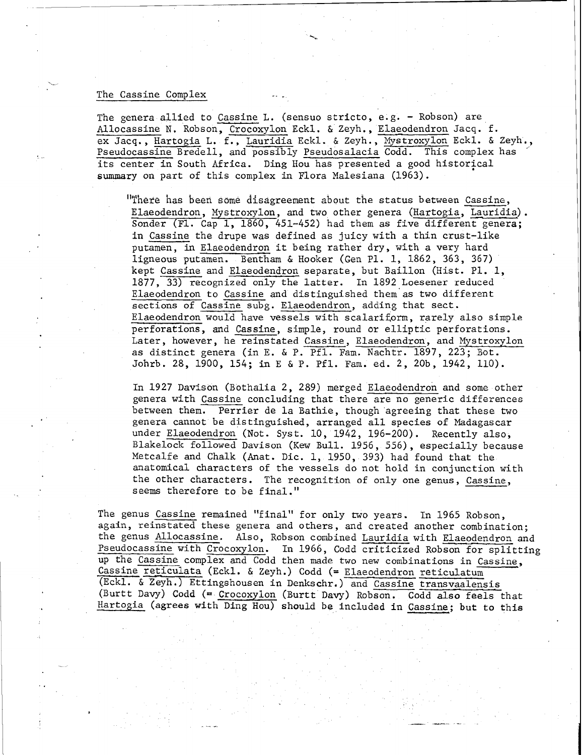## The Cassine Complex

The genera allied to Cassine L. (sensuo stricto, e.g. - Robson) are Allocassine N. Robson, Crocoxylon Eckl. & Zeyh., Elaeodendron Jacq. f. ex Jacq., Hartogia L. f., Lauridia Eckl. & Zeyh., Mystroxylon Eckl. & Zeyh., Pseudocassine Bredell, and possibly Pseudosalacia Codd. This complex has ' its center in South Africa. Ding Hou has presented a good historical **summary** on part of this complex in Flora Malesiana (1963).

"There has been some disagreement about the status between Cassine, Elaeodendron, Mystroxylon, and two other genera (Hartogia, Lauridia). Sonder (F1. Cap 1, 1860, 451-452) had them as five different genera; in Cassine the drupe was defined as juicy with a thin crust-like putamen, in Elaeodendron it being rather dry, with a very hard ligneous putamen. Bentham & Hooker (Gen P1. 1, 1862, 363, 367) kept Cassine and Elaeodendron separate, but Baillon (Hist. PI. 1, 1877, 33) recognized only the latter. In 1892 Loesener reduced Elaeodendron to Cassine and distinguished them as two different sections of Cassine subg. Elaeodendron, adding that sect. Elaeodendron would have vessels with scalariform, rarely also simple perforations, and Cassine, simple, round or elliptic perforations. Later, however, he reinstated Cassine, Elaeodendron, and Mystroxylon as distinct genera (in E. & P. Pfl. Fam. Nachtr. 1897, 223; Bot. Johrb. 28, 1900, 154; in E & P. Pfl. Fan. ed. 2, 20b, 1942, 110).

In 1927 Davison (Bothalia 2, 289) merged Elaeodendron and some other genera with Cassine concluding that there are no generic differences between them. Perrier de la Bathie, though agreeing that these two genera cannot be distinguished, arranged all species of Madagascar under Elaeodendron (Not. Syst. 10, 1942, 196-200). Recently also, Blakelock followed Davison (Kew Bull. 1956, 556), especially because Metcalfe and Chalk (Anat. Dic. 1, 1950, 393) had found that the anatomical characters of the vessels do not hold in conjunction with the other characters. The recognition of only one genus, Cassine, seems therefore to be final."

The genus Cassine remained "final" for only two years. In 1965 Robson, again, reinstated these genera and others, and created another combination; the genus Allocassine. Also, Robson combined Lauridia with Elaeodendron and Pseudocassine with Crocoxylon. In 1966, Codd criticized Robson for splitting up the Cassine complex and Codd then made two new combinations in Cassine, Cassine reticulata (Eckl. & Zeyh.) Codd (= Elaeodendron reticulatum (Eckl. & Zeyh. ) Ettingshousen in Denkschr. ) and Cassine transvaalensis (Burtt Davy) Codd (= Crocoxylon (Burtt Davy) Robson. Codd also feels that Hartogia (agrees with Ding Hou) should be included in Cassine; but to this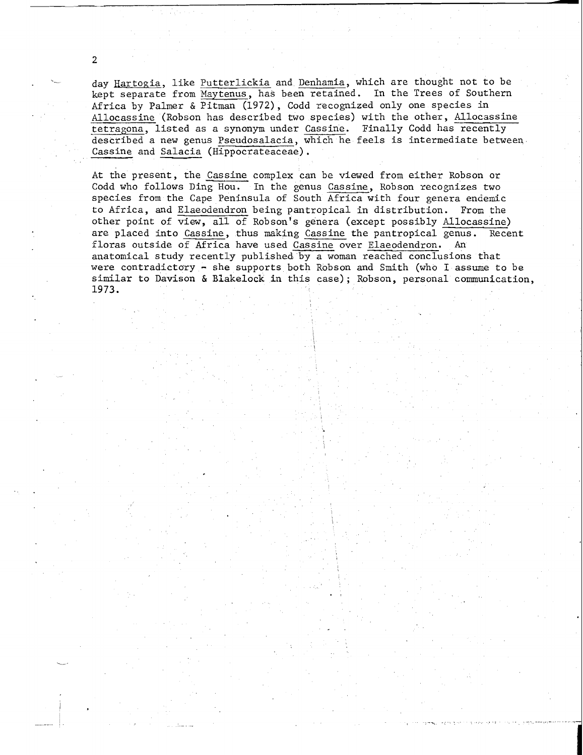day Hartogia, like Putterlickia and Denhamia, which are thought not to be kept separate from Maytenus, has been retained. In the Trees of Southern Africa by Palmer & Pitman (1972), Codd recognized only one species in Allocassine (Robson has described two species) with the other, Allocassine tetragona, listed as a synonym under Cassine. Finally Codd has recently described a new genus Pseudosalacia, which he feels is intermediate between Cassine and Salacia (Hippocrateaceae).

 $\overline{2}$ 

At the present, the Cassine complex can be viewed from either Robson or Codd who follows Ding Hou. In the genus Cassine, Robson recognizes two species from the Cape Peninsula of South Africa with four genera endemic to Africa, and Elaeodendron being pantropical in distribution. From the other point of view, all of Robson's genera (except possibly Allocassine) are placed into Cassine, thus making Cassine the pantropical genus. Recent floras outside of Africa have used Cassine over Elaeodendron. An anatomical study recently published by a woman reached conclusions that were contradictory - she supports both Robson and Smith (who I assume to be similar to Davison & Blakelock in this case); Robson, personal comunication, 1973.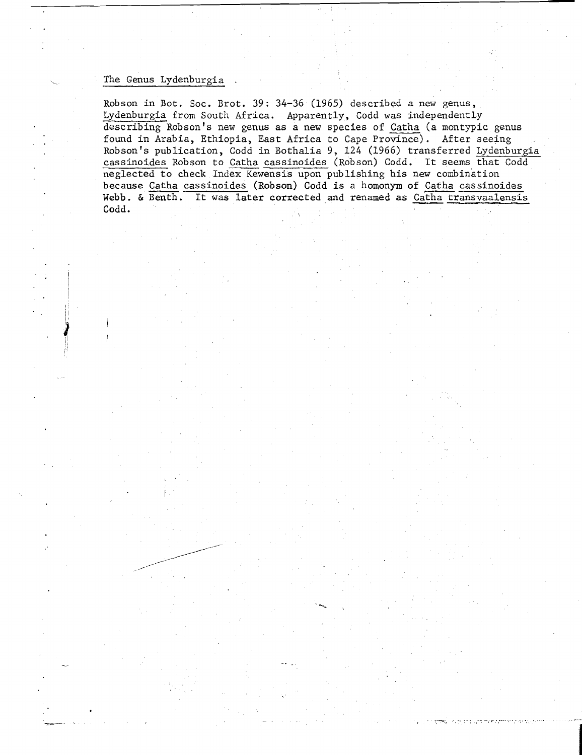## The Genus Lydenburgia

Robson in Bot. Soc. Brot. 39 : 34-36 (1965) described a new genus, Lydenburgia from South Africa. Apparently, Codd was independently describing Robson's new genus as a new species of Catha (a montypic genus found in Arabia, Ethiopia, East Africa to Cape Province). After seeing<br>Robson's publication, Codd in Bothalia 9, 124 (1966) transferred Lydenburgia cassinoides Robson to Catha cassinoides (Robson) Codd. It seems that Codd neglected to check Index Kewensis upon publishing his new combination<br>because Catha cassinoides (Robson) Codd is a homonym of Catha cassinoides Robson in Bot. Soc. Brot. 39: 34-36 (1965) described a new genus,<br>Lydenburgia from South Africa. Apparently, Codd was independently<br>describing Robson's new genus as a new species of Catha (a montypic genus<br>found in Arabia, Webb. & Benth. It was later corrected and renamed as Catha transvaalensis Codd.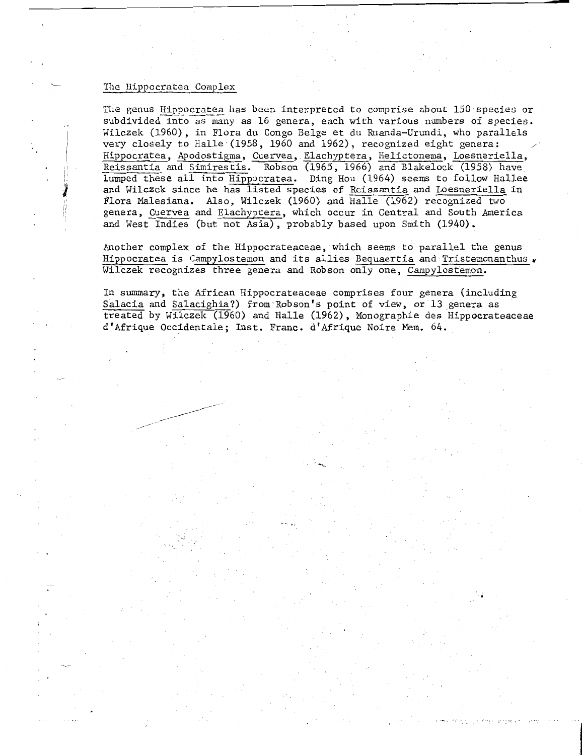## The Hippocratea Complex

The genus Hippocratea has been interpreted to comprise about 150 species or subdivided into as many as 16 genera, each with various numbers of species. Wilczek (1960), in Flora du Congo Belge et du Ruanda-Urundi, who parallels very closely to Halle (1958, 1960 and 1962), recognized eight genera: Hippocratea, Apodostigma, Cuervea, Elachyptera, Helictonema, Loesneriella, Reissantia and Simirestis. Robson (1965, 1966) and Blakelock (1958) have lumped these all into Hippocratea. Ding Hou (1964) seems to follow Hallee and Wilczek since he has listed species of Reissantia and Loesneriella in Flora Malesiana. Also, Wilczek (1960) and Halle (1962) recognized two genera, Cuervea and Elachyptera, which occur in Central and South America and West Indies (but not Asia), probably based upon Smith (1940).

Another complex of the Hippocrateaceae, which seems to parallel the genus Hippocratea is Campylostemon and its allies Bequaertia and Tristemonanthus Wilczek recognizes three genera and Robson only one, Campylostemon.

In summary, the African Hippocrateaceae comprises four genera (including Salacia and Salacighia?) from Robson's point of view, or 13 genera as treated by Wilczek (1960) and Halle (1962), Monographie des Hippocrateaceae d'Afrique Occidentale; Inst. Franc. d'Afrique Noire Mem. 64.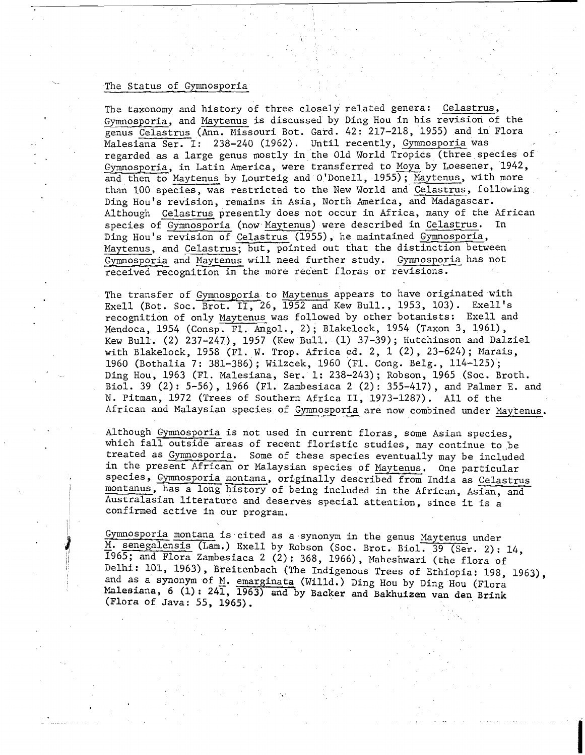## The Status of Gymnosporia

The taxonomy and history of three closely related genera: Celastrus, Gymnosporia, and Maytenus is discussed by Ding Hou in his revision of the genus Celastrus (Ann. Missouri Bot. Gard. 42: 217-218, 1955) and in Flora Malesiana Ser. I: 238-240 (1962). Until recently, Gymnosporia was regarded as a large genus mostly in the Old World Tropics (three species of Gymnosporia, in Latin America, were transferred to Moya by Loesener, 1942, and then to Maytenus by Lourteig and O'Donell, 1955); Maytenus, with more than 100 species, was restricted to the New World and Celastrus, following Ding Hou's revision, remains in Asia, North America, and Madagascar. Although Celastrus presently does not occur in Africa, many of the African species of Gymnosporia (now Maytenus) were described in Celastrus. In Ding Hou's revision of Celastrus (1955), he maintained Gymnosporia, Maytenus, and Celastrus; but, pointed out that the distinction between Gymnosporia and Maytenus will need further study. Gymnosporia has not received recognition in the more recent floras or revisions.

The transfer of Gymnosporia to Maytenus appears to have originated with Exell (Bot. Soc. Brot. II, 26,  $\overline{1952}$  and Kew Bull., 1953, 103). Exell's recognition of only Maytenus was followed by other botanists: Exell and Mendoca, 1954 (Consp. Fl. Angol., 2); Blakelock, 1954 (Taxon 3, 1961), Kew Bull. (2) 237-247), 1957 (Kew Bull. (1) 37-39); Hutchinson and Dalziel with Blakelock, 1958 (Fl. **W.** Trop. Africa ed. 2, 1 (2), 23-624); Marais, 1960 (Bothalia 7: 381-386); Wilzcek, 1960 (Fl. Cong. Belg., 114-125); Ding Hou, 1963 (Fl. Malesiana, Ser. 1: 238-243); Robson, 1965 (Soc. Broth. Biol. 39 (2): 5-56), 1966 (Fl. Zambesiaca 2 (2): 355-417), and Palmer E. and N. Pitman, 1972 (Trees of Southern Africa 11, 1973-1287). All of the African and Malaysian species of Gymnosporia are now combined under Maytenus.

Although Gymnosporia is not used in current floras, some Asian species, which fall outside areas of recent floristic studies, may continue to be treated as Gymnosporia. Some of these species eventually may be included in the present African or Malaysian species of Maytenus. One particular species, Gymnosporia montana, originally described from India as Celastrus montanus, has a long history of being included in the African, Asian, and Australasian literature and deserves special attention, since it is a confirmed active in our program.

Gymnosporia montana is cited as a synonym in the genus Maytenus under M. senegalensis (Lam.) Exell by Robson (Soc. Brot. Biol. 39 (Ser. 2): 14, 11 1965; and Flora Zambesiaca 2 (2): 368, 1966), Maheshwari (the flora of Delhi: 101, 1963), Breitenbach (The Indigenous Trees of Ethiopia: 198, 1963), and as a synonym of M. emarginata (Willd.) Ding Hou by Ding Hou (Flora Malesiana, 6 (1): 241, 1963) and by Backer and Bakhuizen van den Brink and as a synonym of M. emarginata (Willd.) Ding Hou by Ding Hou (Flora (Flora of Java: 55, 1965).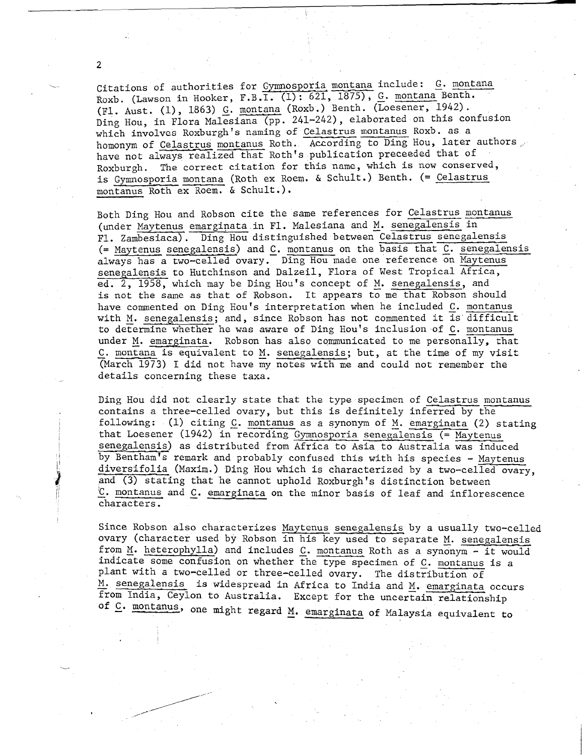.<br>Citations of authorities for <u>Gymnosporia montana</u> include: <u>G. montana</u> Citations of authorities for Gymnospolia montana ficture.  $\Sigma$ .  $\Sigma$ .  $\Sigma$ .  $\Sigma$ .  $\Sigma$ .  $\Sigma$ .  $\Sigma$ .  $\Sigma$ .  $\Sigma$ .  $\Sigma$ .  $\Sigma$ .  $\Sigma$ .  $\Sigma$ .  $\Sigma$ .  $\Sigma$ .  $\Sigma$ .  $\Sigma$ .  $\Sigma$ .  $\Sigma$ .  $\Sigma$ .  $\Sigma$ .  $\Sigma$ .  $\Sigma$ .  $\Sigma$ .  $\Sigma$ .  $\Sigma$ .  $\Sigma$ . (Fl. Aust. (1), 1863) <u>G. montana</u> (Roxb.) Benth. (Loesener, 1942).<br>Ding Hou, in Flora Malesiana (pp. 241-242), elaborated on this confusion which involves Roxburgh's naming of Celastrus montanus Roxb. as a homonym of Celastrus montanus Roth. According to Ding Hou, later authors, have not always realized that Roth's publication preceeded that of Roxburgh. The correct citation for this name, which is now conserved, is Gymnosporia montana (Roth ex Roem. & Schult.) Benth. (= Celastrus montanus Roth ex Roem. & Schult.).

Both Ding Hou and Robson cite the same references for Celastrus montanus (under Maytenus emarginata in F1. Malesiana and M. senegalensis in F1. Zambesiaca). Ding Hou distinguished between Celastrus senegalensis  $($ = Maytenus senegalensis) and  $C.$  montanus on the basis that  $C.$  senegalensis always has a two-celled ovary. Ding Hou made one reference on Maytenus senegalensis to Hutchinson and Dalzeil, Flora of West Tropical Africa, ed. 2, 1958, which may be Ding Hou's concept of M. senegalensis, and is not the same as that of Robson. It appears to me that Robson should have commented on Ding Hou's interpretation when he included C. montanus with M. senegalensis; and, since Robson has not commented it is difficult to determine whether he was aware of Ding Hou's inclusion of C. montanus under M. emarginata. Robson has also communicated to me personally, that C. montana is equivalent to M. senegalensis; but, at the time of my visit (March 1973) I did not have my notes with me and could not remember the details concerning these taxa.

Ding Hou did not clearly state that the type specimen of Celastrus montanus contains a three-celled ovary, but this is definitely inferred by the following: (1) citing C. montanus as a synonym of M, emarginata (2) stating that Loesener (1942) in recording Gymnosporia senegalensis  $($  = Maytenus senegalensis) as distributed from Africa to Asia to Australia was induced by Bentham's remark and probably confused this with his species - Maytenus diversifolia (Maxim.) Ding Hou which is characterized by a two-celled ovary, and (3) stating that he cannot uphold Roxburgh's distinction between  $C.$  montanus and  $C.$  emarginata on the minor basis of leaf and inflorescence characters.

Since Robson also characterizes Maytenus senegalensis by a usually two-celled ovary (character used by Robson in his key used to separate M. senegalensis from M. heterophylla) and includes C. montanus Roth as a synonym - it would indicate some confusion on whether the type specimen of C. montanus is a plant with a two-celled or three-celled ovary. The distribution of M. senegalensis is widespread in Africa to India and M. emarginata occurs from India, Ceylon to Australia. Except for the uncertain relationship m India, Cey on to Australia. Except for the uncertain relationship<br>one might regard M. emarginata of Malaysia equivalent to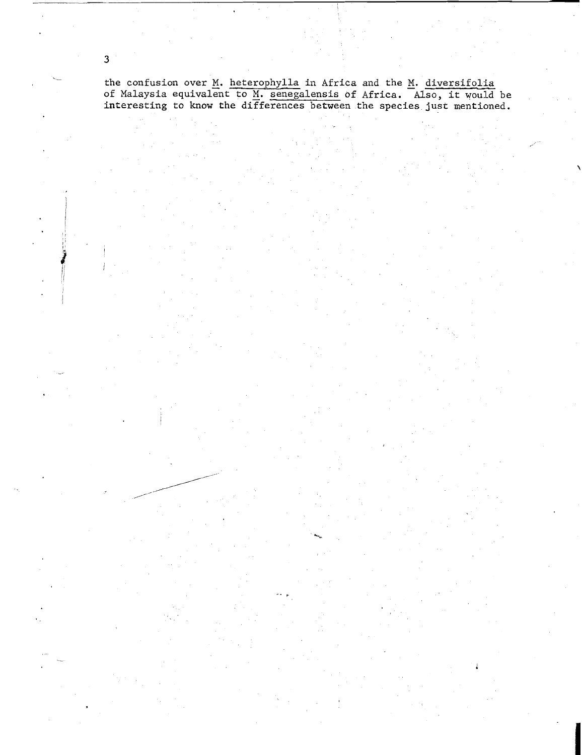the confusion over <u>M</u>. <u>heterophylla</u> in Africa and the <u>M. diversifolia</u> **of Malaysia equivalznt to** M. **senegalensis of Africa. Also, it would be interesting to know the diFferences between the species just mentioned.** 

 $\overline{3}$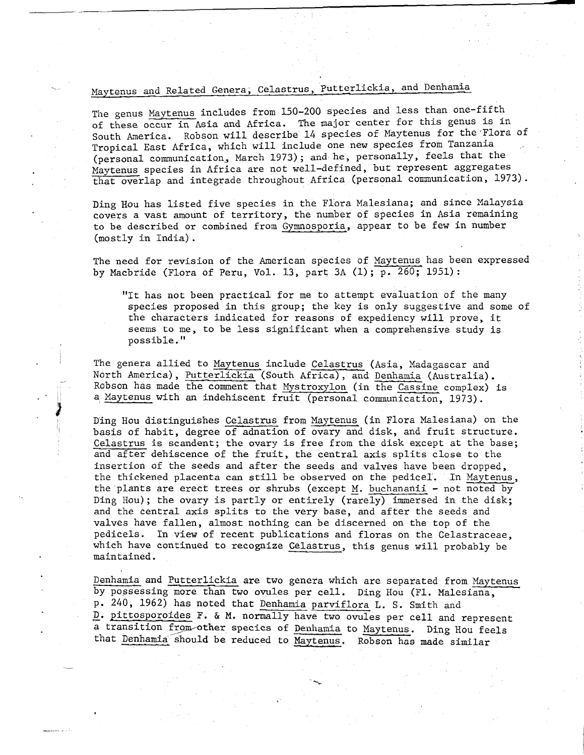# Maytenus and Related Genera, Celastrus, Putterlickia, and Denhamia

The genus Maytenus includes from 150-200 species and less than one-fifth of these occur in Asia and Africa. The major center for this genus is in South America. Robson will describe 14 species of Maytenus for the'Flora of Tropical East Africa, which will include one new species from Tanzania (personal communication,, March 1973); and he, personally, feels that the Maytenus species in Africa are not well-defined, but represent aggregates that overlap and integrade throughout Africa (personal communication, 1973).

Ding Hou has listed five species in the Flora Malesiana; and since Malaysia covers a vast amount of territory, the number of species in Asia remaining to be described or combined from Gymnosporia, appear to be few in number (mostly in India) .

The need for revision of the American species of Maytenus has been expressed by Macbride (Flora of Peru, Vol. 13, part 3A (1); p. 260; 1951):

"It has not been practical for me to attempt evaluation of the many species proposed in this group; the key is only suggestive and some of the characters indicated for reasons of expediency will prove, it seems to me, to be less significant when a comprehensive study is possible."

The genera allied to Maytenus include Celastrus (Asia, Madagascar and North America), Putterlickia (South Africa), and Denhamia (Australia). Robson has made the comment that Mystroxylon (in the Cassine complex) is a Maytenus with an indehiscent fruit (personal communication, 1973).

I

**t** *d* 

-

<sup>I</sup>Ding Hou distinguishes Celastrus from Maytenus (in Flora Malesiana) on the basis of habit, degree of adnation of ovary and disk, and fruit structure. Celastrus is scandent; the ovary is free from the disk except at the base; and after dehiscence of the fruit, the central axis splits close to the insertion of the seeds and after the seeds and valves have been dropped, the thickened placenta can still be observed on the pedicel. In Maytenus, the plants are erect trees or shrubs (except M. buchananii - not noted by Ding Hou) ; the ovary is partly or entirely (rarely) immersed in the disk; and the central axis splits to the very base, and after the seeds and valves have fallen, almost nothing can be discerned on the top of the pedicels. In view of recent publications and floras on the Celastraceae. which have continued to recognize Celastrus, this genus will probably be maintained.

Denhamia and Putterlickia are two genera which are separated from Maytenus by possessing more than two ovules per cell. Ding Hou (F1. Malesiana, p. 240, 1962) has noted that Denhamia parviflora L. S. Smith and D. pittosporoides F. & M. normally have two ovules per cell and represent a transition from other species of Denhamia to Maytenus. Ding Hou feels that Denhamia should be reduced to Maytenus. Robson has made similar

%.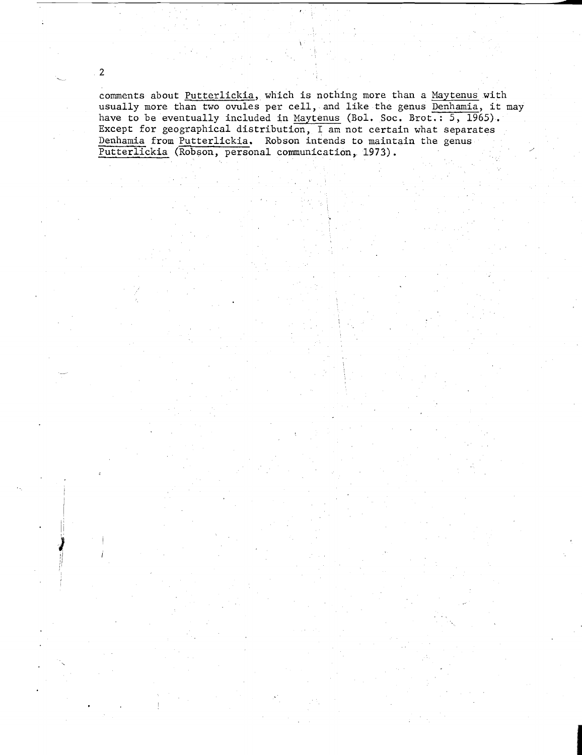comments about Putterlickia, which is nothing more than a Maytenus with usually more than two ovules per cell, and like the genus Denhamia, it may have to be eventually included in Maytenus (Bol. Soc. Brot.: 5, 1965). Except for geographical distribution, I am not certain what separates Denhamia from Putterlickia. Robson intends to maintain the genus Putterlickia (Robson, personal communication, 1973).

 $\overline{2}$